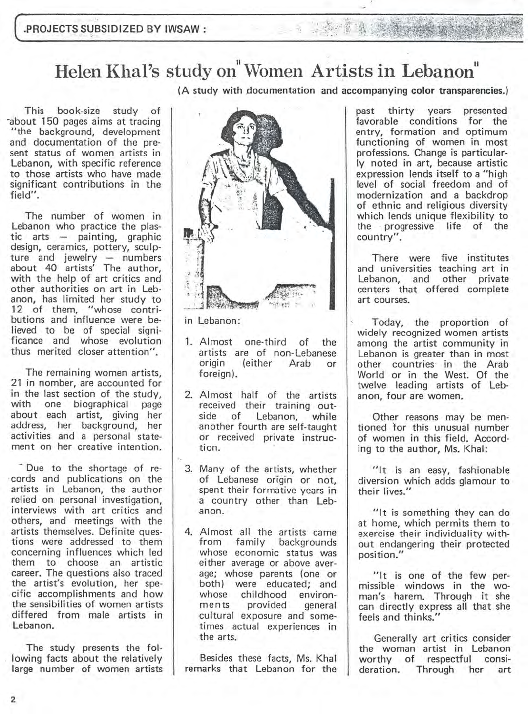## Helen Khal's study on "Women Artists in Lebanon"

(A study with documentation and accompanying color transparencies.)

This book-size study of -about 150 pages aims at tracing "the background, development and documentation of the present status of women artists in Lebanon, with specific reference to those artists who have made significant contributions in the field".

The number of women in Lebanon who practice the plastic arts - painting, graphic design, ceramics, pottery, sculpture and jewelry - numbers about 40 artists' The author, with the help of art critics and other authorities on art in Lebanon, has limited her study to 12 of them, "whose contributions and influence were believed to be of special significance and whose evolution thus merited closer attention".

The remaining women artists, 21 in nomber, are accounted for in the last section of the study. with one biographical page about each artist, giving her address, her background, her activities and a personal statement on her creative intention.

- Due to the shortage of re- . cords and publications on the artists in Lebanon, the author relied on personal investigation, interviews with art critics and others, and meetings with the artists themselves. Definite questions were addressed to them concerning influences which led them to choose an artistic career. The questions also traced the artist's evolution, her specific accomplishments and how the sensibilities of women artists differed from male artists in Lebanon.

The study presents the following facts about the relatively large number of women artists



in Lebanon:

- 1. Almost one-third of the artists are of non-Lebanese<br>origin (either Arab or (either Arab or foreign).
- 2. Almost half of the artists received their training outside of Lebanon, while another fourth are self-taught or received private instruction.
- 3. Many of the artists, whether of Lebanese origin or not, spent their formative years in a country other than Lebanon.
- 4. Almost all the artists came from family backgrounds whose economic status was either average or above average; whose parents (one or both) were educated; and whose childhood environments provided general cultural exposure and sometimes actual experiences in the arts.

Besides these facts, Ms. Khal remarks that Lebanon for the past thirty years presented favorable conditions for the entry, formation and optimum functioning of women in most professions. Change is particularly noted in art, because artistic expression lends itself to a "high level of social freedom and of modernization and a backdrop of ethnic and religious diversity which lends unique flexibility to the . progressive life of the country".

There were five institutes and universities teaching art in Lebanon, and other private centers that offered complete art courses.

Today, the proportion of widely recognized women artists among the artist community in Lebanon is greater than in most other countries in the Arab World or in the West. Of the twelve leading artists of Lebanon, four are women.

Other reasons may be mentioned for this unusual number of women in this field. According to the author, Ms. Khal:

"It is an easy, fashionable diversion which adds glamour to their lives."

"It is something they can do at home, which permits them to exercise their individuality without endangering their protected position."

"It is one of the few permissible windows in the woman's harem. Through it she can directly express all that she feels and thinks."

Generally art critics consider the woman artist in Lebanon worthy of respectful consideration. Through her art